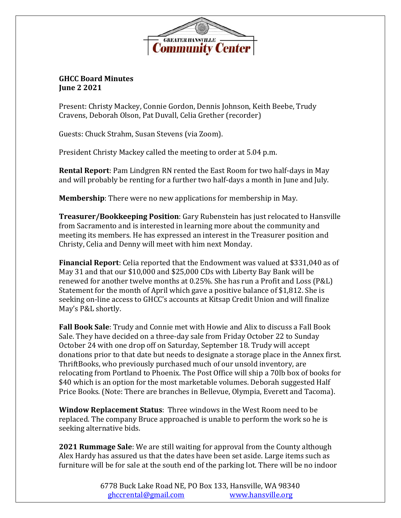

## **GHCC Board Minutes June 2 2021**

Present: Christy Mackey, Connie Gordon, Dennis Johnson, Keith Beebe, Trudy Cravens, Deborah Olson, Pat Duvall, Celia Grether (recorder)

Guests: Chuck Strahm, Susan Stevens (via Zoom).

President Christy Mackey called the meeting to order at 5.04 p.m.

**Rental Report**: Pam Lindgren RN rented the East Room for two half-days in May and will probably be renting for a further two half-days a month in June and July.

**Membership**: There were no new applications for membership in May.

**Treasurer/Bookkeeping Position**: Gary Rubenstein has just relocated to Hansville from Sacramento and is interested in learning more about the community and meeting its members. He has expressed an interest in the Treasurer position and Christy, Celia and Denny will meet with him next Monday.

**Financial Report**: Celia reported that the Endowment was valued at \$331,040 as of May 31 and that our \$10,000 and \$25,000 CDs with Liberty Bay Bank will be renewed for another twelve months at 0.25%. She has run a Profit and Loss (P&L) Statement for the month of April which gave a positive balance of \$1,812. She is seeking on-line access to GHCC's accounts at Kitsap Credit Union and will finalize May's P&L shortly.

**Fall Book Sale**: Trudy and Connie met with Howie and Alix to discuss a Fall Book Sale. They have decided on a three-day sale from Friday October 22 to Sunday October 24 with one drop off on Saturday, September 18. Trudy will accept donations prior to that date but needs to designate a storage place in the Annex first. ThriftBooks, who previously purchased much of our unsold inventory, are relocating from Portland to Phoenix. The Post Office will ship a 70lb box of books for \$40 which is an option for the most marketable volumes. Deborah suggested Half Price Books. (Note: There are branches in Bellevue, Olympia, Everett and Tacoma).

**Window Replacement Status**: Three windows in the West Room need to be replaced. The company Bruce approached is unable to perform the work so he is seeking alternative bids.

**2021 Rummage Sale**: We are still waiting for approval from the County although Alex Hardy has assured us that the dates have been set aside. Large items such as furniture will be for sale at the south end of the parking lot. There will be no indoor

> 6778 Buck Lake Road NE, PO Box 133, Hansville, WA 98340 [ghccrental@gmail.com](mailto:ghccrental@gmail.com) [www.hansville.org](http://www.hansville.org/)